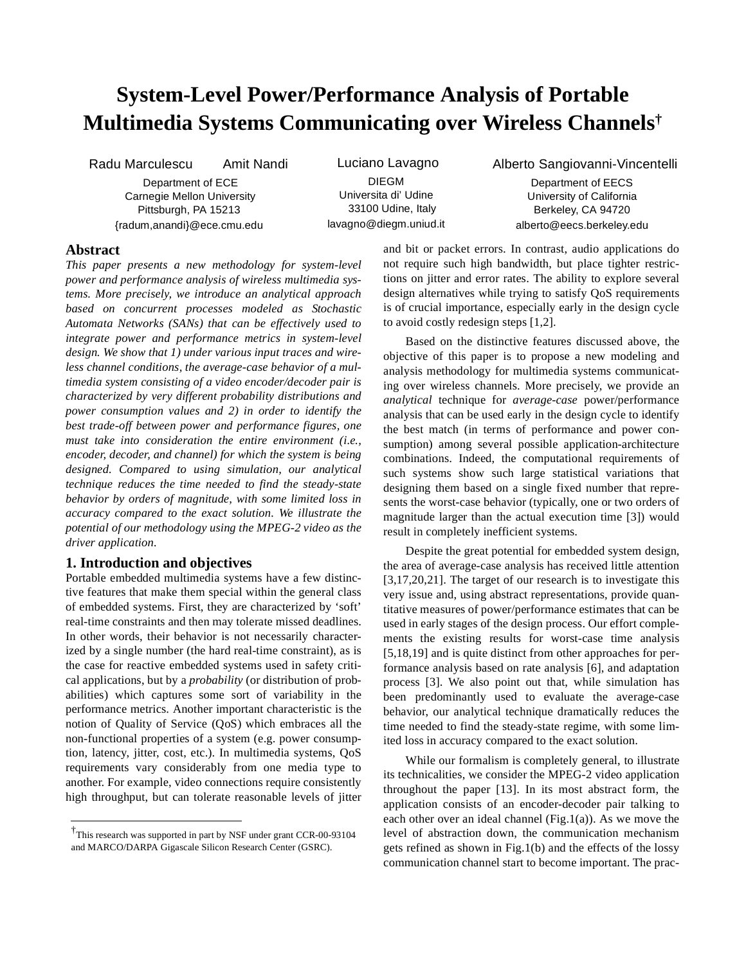# **System-Level Power/Performance Analysis of Portable Multimedia Systems Communicating over Wireless Channels†**

Radu Marculescu Amit Nandi Department of ECE Carnegie Mellon University Pittsburgh, PA 15213 {radum,anandi}@ece.cmu.edu

Luciano Lavagno DIEGM Universita di' Udine 33100 Udine, Italy lavagno@diegm.uniud.it Alberto Sangiovanni-Vincentelli Department of EECS University of California Berkeley, CA 94720 alberto@eecs.berkeley.edu

# **Abstract**

*This paper presents a new methodology for system-level power and performance analysis of wireless multimedia systems. More precisely, we introduce an analytical approach based on concurrent processes modeled as Stochastic Automata Networks (SANs) that can be effectively used to integrate power and performance metrics in system-level design. We show that 1) under various input traces and wireless channel conditions, the average-case behavior of a multimedia system consisting of a video encoder/decoder pair is characterized by very different probability distributions and power consumption values and 2) in order to identify the best trade-off between power and performance figures, one must take into consideration the entire environment (i.e., encoder, decoder, and channel) for which the system is being designed. Compared to using simulation, our analytical technique reduces the time needed to find the steady-state behavior by orders of magnitude, with some limited loss in accuracy compared to the exact solution. We illustrate the potential of our methodology using the MPEG-2 video as the driver application.*

# **1. Introduction and objectives**

Portable embedded multimedia systems have a few distinctive features that make them special within the general class of embedded systems. First, they are characterized by 'soft' real-time constraints and then may tolerate missed deadlines. In other words, their behavior is not necessarily characterized by a single number (the hard real-time constraint), as is the case for reactive embedded systems used in safety critical applications, but by a *probability* (or distribution of probabilities) which captures some sort of variability in the performance metrics. Another important characteristic is the notion of Quality of Service (QoS) which embraces all the non-functional properties of a system (e.g. power consumption, latency, jitter, cost, etc.). In multimedia systems, QoS requirements vary considerably from one media type to another. For example, video connections require consistently high throughput, but can tolerate reasonable levels of jitter and bit or packet errors. In contrast, audio applications do not require such high bandwidth, but place tighter restrictions on jitter and error rates. The ability to explore several design alternatives while trying to satisfy QoS requirements is of crucial importance, especially early in the design cycle to avoid costly redesign steps [1,2].

Based on the distinctive features discussed above, the objective of this paper is to propose a new modeling and analysis methodology for multimedia systems communicating over wireless channels. More precisely, we provide an *analytical* technique for *average-case* power/performance analysis that can be used early in the design cycle to identify the best match (in terms of performance and power consumption) among several possible application-architecture combinations. Indeed, the computational requirements of such systems show such large statistical variations that designing them based on a single fixed number that represents the worst-case behavior (typically, one or two orders of magnitude larger than the actual execution time [3]) would result in completely inefficient systems.

Despite the great potential for embedded system design, the area of average-case analysis has received little attention [3,17,20,21]. The target of our research is to investigate this very issue and, using abstract representations, provide quantitative measures of power/performance estimates that can be used in early stages of the design process. Our effort complements the existing results for worst-case time analysis [5,18,19] and is quite distinct from other approaches for performance analysis based on rate analysis [6], and adaptation process [3]. We also point out that, while simulation has been predominantly used to evaluate the average-case behavior, our analytical technique dramatically reduces the time needed to find the steady-state regime, with some limited loss in accuracy compared to the exact solution.

While our formalism is completely general, to illustrate its technicalities, we consider the MPEG-2 video application throughout the paper [13]. In its most abstract form, the application consists of an encoder-decoder pair talking to each other over an ideal channel (Fig.1(a)). As we move the level of abstraction down, the communication mechanism gets refined as shown in Fig.1(b) and the effects of the lossy communication channel start to become important. The prac-

<sup>†</sup>This research was supported in part by NSF under grant CCR-00-93104 and MARCO/DARPA Gigascale Silicon Research Center (GSRC).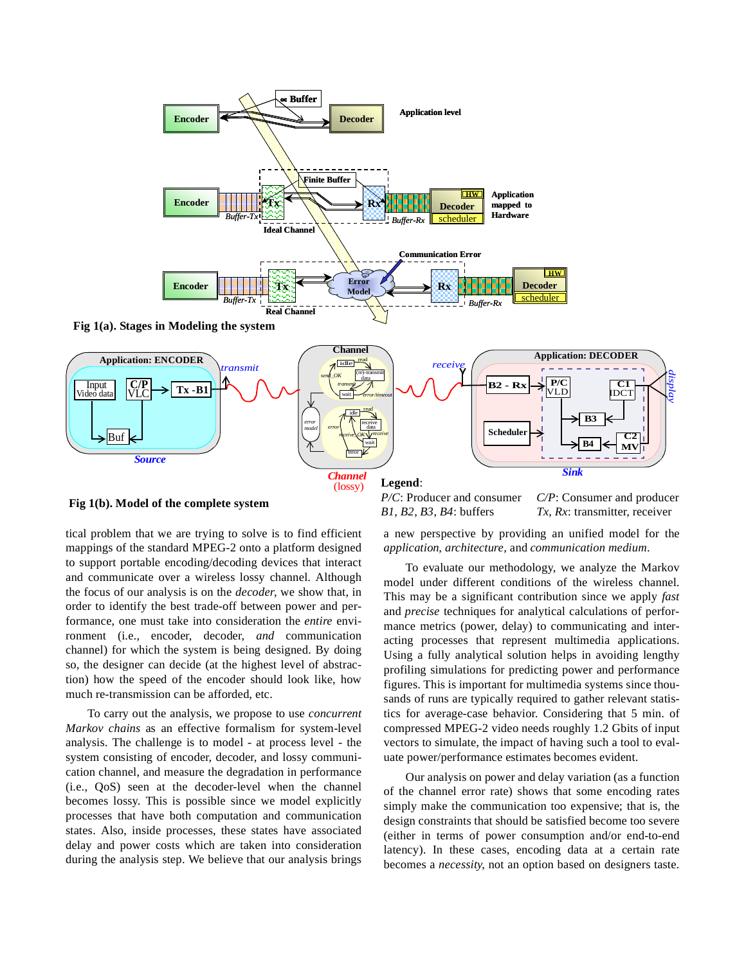

**Fig 1(b). Model of the complete system**

tical problem that we are trying to solve is to find efficient mappings of the standard MPEG-2 onto a platform designed to support portable encoding/decoding devices that interact and communicate over a wireless lossy channel. Although the focus of our analysis is on the *decoder*, we show that, in order to identify the best trade-off between power and performance, one must take into consideration the *entire* environment (i.e., encoder, decoder, *and* communication channel) for which the system is being designed. By doing so, the designer can decide (at the highest level of abstraction) how the speed of the encoder should look like, how much re-transmission can be afforded, etc.

To carry out the analysis, we propose to use *concurrent Markov chains* as an effective formalism for system-level analysis. The challenge is to model - at process level - the system consisting of encoder, decoder, and lossy communication channel, and measure the degradation in performance (i.e., QoS) seen at the decoder-level when the channel becomes lossy. This is possible since we model explicitly processes that have both computation and communication states. Also, inside processes, these states have associated delay and power costs which are taken into consideration during the analysis step. We believe that our analysis brings

a new perspective by providing an unified model for the *application*, *architecture*, and *communication medium*. *B1*, *B2*, *B3*, *B4*: buffers *Tx*, *Rx*: transmitter, receiver

To evaluate our methodology, we analyze the Markov model under different conditions of the wireless channel. This may be a significant contribution since we apply *fast* and *precise* techniques for analytical calculations of performance metrics (power, delay) to communicating and interacting processes that represent multimedia applications. Using a fully analytical solution helps in avoiding lengthy profiling simulations for predicting power and performance figures. This is important for multimedia systems since thousands of runs are typically required to gather relevant statistics for average-case behavior. Considering that 5 min. of compressed MPEG-2 video needs roughly 1.2 Gbits of input vectors to simulate, the impact of having such a tool to evaluate power/performance estimates becomes evident.

Our analysis on power and delay variation (as a function of the channel error rate) shows that some encoding rates simply make the communication too expensive; that is, the design constraints that should be satisfied become too severe (either in terms of power consumption and/or end-to-end latency). In these cases, encoding data at a certain rate becomes a *necessity*, not an option based on designers taste.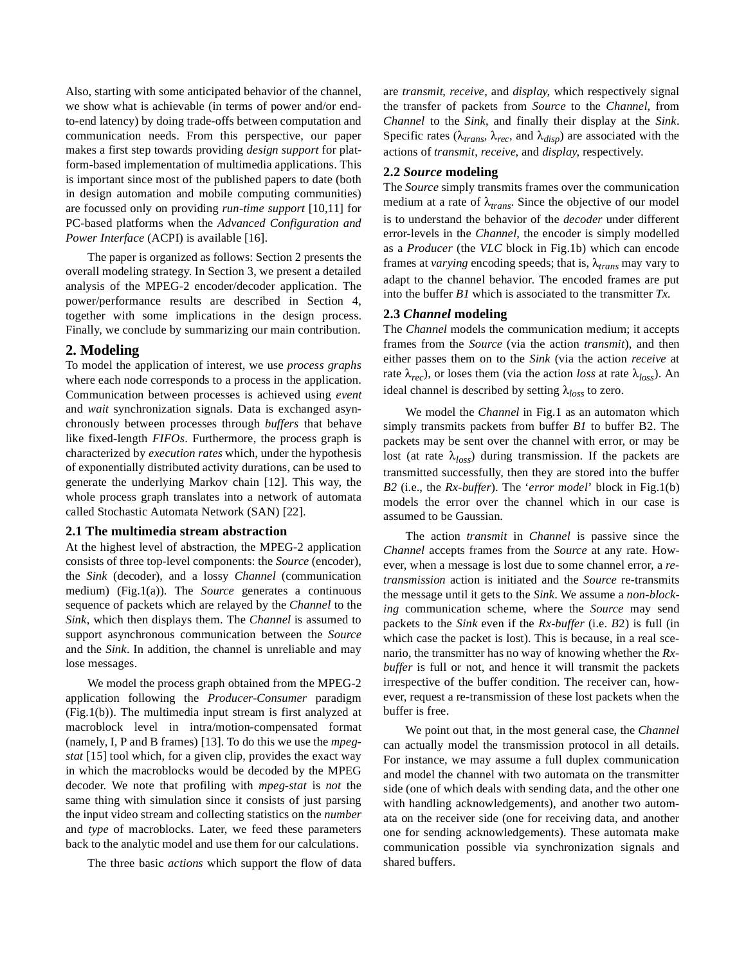Also, starting with some anticipated behavior of the channel, we show what is achievable (in terms of power and/or endto-end latency) by doing trade-offs between computation and communication needs. From this perspective, our paper makes a first step towards providing *design support* for platform-based implementation of multimedia applications. This is important since most of the published papers to date (both in design automation and mobile computing communities) are focussed only on providing *run-time support* [10,11] for PC-based platforms when the *Advanced Configuration and Power Interface* (ACPI) is available [16].

The paper is organized as follows: Section 2 presents the overall modeling strategy. In Section 3, we present a detailed analysis of the MPEG-2 encoder/decoder application. The power/performance results are described in Section 4, together with some implications in the design process. Finally, we conclude by summarizing our main contribution.

## **2. Modeling**

To model the application of interest, we use *process graphs* where each node corresponds to a process in the application. Communication between processes is achieved using *event* and *wait* synchronization signals. Data is exchanged asynchronously between processes through *buffers* that behave like fixed-length *FIFOs*. Furthermore, the process graph is characterized by *execution rates* which, under the hypothesis of exponentially distributed activity durations, can be used to generate the underlying Markov chain [12]. This way, the whole process graph translates into a network of automata called Stochastic Automata Network (SAN) [22].

## **2.1 The multimedia stream abstraction**

At the highest level of abstraction, the MPEG-2 application consists of three top-level components: the *Source* (encoder), the *Sink* (decoder), and a lossy *Channel* (communication medium) (Fig.1(a)). The *Source* generates a continuous sequence of packets which are relayed by the *Channel* to the *Sink*, which then displays them. The *Channel* is assumed to support asynchronous communication between the *Source* and the *Sink*. In addition, the channel is unreliable and may lose messages.

We model the process graph obtained from the MPEG-2 application following the *Producer-Consumer* paradigm (Fig.1(b)). The multimedia input stream is first analyzed at macroblock level in intra/motion-compensated format (namely, I, P and B frames) [13]. To do this we use the *mpegstat* [15] tool which, for a given clip, provides the exact way in which the macroblocks would be decoded by the MPEG decoder. We note that profiling with *mpeg-stat* is *not* the same thing with simulation since it consists of just parsing the input video stream and collecting statistics on the *number* and *type* of macroblocks. Later, we feed these parameters back to the analytic model and use them for our calculations.

The three basic *actions* which support the flow of data

are *transmit*, *receive*, and *display*, which respectively signal the transfer of packets from *Source* to the *Channel*, from *Channel* to the *Sink*, and finally their display at the *Sink*. Specific rates ( $\lambda_{trans}$ ,  $\lambda_{rec}$ , and  $\lambda_{disp}$ ) are associated with the actions of *transmit*, *receive*, and *display*, respectively.

#### **2.2** *Source* **modeling**

The *Source* simply transmits frames over the communication medium at a rate of  $\lambda_{trans}$ . Since the objective of our model is to understand the behavior of the *decoder* under different error-levels in the *Channel*, the encoder is simply modelled as a *Producer* (the *VLC* block in Fig.1b) which can encode frames at *varying* encoding speeds; that is, λ*trans* may vary to adapt to the channel behavior. The encoded frames are put into the buffer *B1* which is associated to the transmitter *Tx.*

## **2.3** *Channel* **modeling**

The *Channel* models the communication medium; it accepts frames from the *Source* (via the action *transmit*), and then either passes them on to the *Sink* (via the action *receive* at rate  $\lambda_{rec}$ ), or loses them (via the action *loss* at rate  $\lambda_{loss}$ ). An ideal channel is described by setting  $\lambda_{loss}$  to zero.

We model the *Channel* in Fig.1 as an automaton which simply transmits packets from buffer *B1* to buffer B2. The packets may be sent over the channel with error, or may be lost (at rate  $\lambda_{loss}$ ) during transmission. If the packets are transmitted successfully, then they are stored into the buffer *B2* (i.e., the *Rx-buffer*). The '*error model*' block in Fig.1(b) models the error over the channel which in our case is assumed to be Gaussian.

The action *transmit* in *Channel* is passive since the *Channel* accepts frames from the *Source* at any rate. However, when a message is lost due to some channel error, a *retransmission* action is initiated and the *Source* re-transmits the message until it gets to the *Sink*. We assume a *non-blocking* communication scheme, where the *Source* may send packets to the *Sink* even if the *Rx-buffer* (i.e. *B*2) is full (in which case the packet is lost). This is because, in a real scenario, the transmitter has no way of knowing whether the *Rxbuffer* is full or not, and hence it will transmit the packets irrespective of the buffer condition. The receiver can, however, request a re-transmission of these lost packets when the buffer is free.

We point out that, in the most general case, the *Channel* can actually model the transmission protocol in all details. For instance, we may assume a full duplex communication and model the channel with two automata on the transmitter side (one of which deals with sending data, and the other one with handling acknowledgements), and another two automata on the receiver side (one for receiving data, and another one for sending acknowledgements). These automata make communication possible via synchronization signals and shared buffers.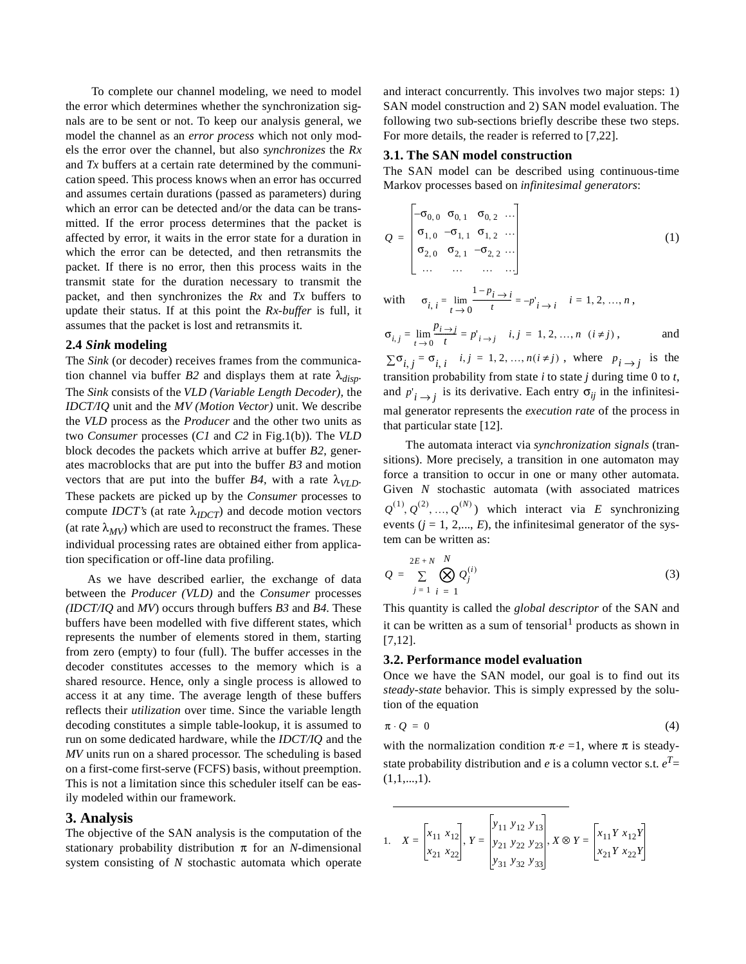To complete our channel modeling, we need to model the error which determines whether the synchronization signals are to be sent or not. To keep our analysis general, we model the channel as an *error process* which not only models the error over the channel, but also *synchronizes* the *Rx* and *Tx* buffers at a certain rate determined by the communication speed. This process knows when an error has occurred and assumes certain durations (passed as parameters) during which an error can be detected and/or the data can be transmitted. If the error process determines that the packet is affected by error, it waits in the error state for a duration in which the error can be detected, and then retransmits the packet. If there is no error, then this process waits in the transmit state for the duration necessary to transmit the packet, and then synchronizes the *Rx* and *Tx* buffers to update their status. If at this point the *Rx-buffer* is full, it assumes that the packet is lost and retransmits it.

#### **2.4** *Sink* **modeling**

The *Sink* (or decoder) receives frames from the communication channel via buffer *B2* and displays them at rate  $\lambda_{disp}$ . The *Sink* consists of the *VLD (Variable Length Decoder),* the *IDCT/IQ* unit and the *MV (Motion Vector)* unit. We describe the *VLD* process as the *Producer* and the other two units as two *Consumer* processes (*C1* and *C2* in Fig.1(b)). The *VLD* block decodes the packets which arrive at buffer *B2*, generates macroblocks that are put into the buffer *B3* and motion vectors that are put into the buffer *B4*, with a rate  $\lambda_{VID}$ . These packets are picked up by the *Consumer* processes to compute *IDCT's* (at rate  $\lambda_{IDCT}$ ) and decode motion vectors (at rate  $\lambda_{MV}$ ) which are used to reconstruct the frames. These individual processing rates are obtained either from application specification or off-line data profiling.

As we have described earlier, the exchange of data between the *Producer (VLD)* and the *Consumer* processes *(IDCT/IQ* and *MV*) occurs through buffers *B3* and *B4*. These buffers have been modelled with five different states, which represents the number of elements stored in them, starting from zero (empty) to four (full). The buffer accesses in the decoder constitutes accesses to the memory which is a shared resource. Hence, only a single process is allowed to access it at any time. The average length of these buffers reflects their *utilization* over time. Since the variable length decoding constitutes a simple table-lookup, it is assumed to run on some dedicated hardware, while the *IDCT/IQ* and the *MV* units run on a shared processor. The scheduling is based on a first-come first-serve (FCFS) basis, without preemption. This is not a limitation since this scheduler itself can be easily modeled within our framework.

#### **3. Analysis**

The objective of the SAN analysis is the computation of the stationary probability distribution  $\pi$  for an *N*-dimensional system consisting of *N* stochastic automata which operate

and interact concurrently. This involves two major steps: 1) SAN model construction and 2) SAN model evaluation. The following two sub-sections briefly describe these two steps. For more details, the reader is referred to [7,22].

#### **3.1. The SAN model construction**

The SAN model can be described using continuous-time Markov processes based on *infinitesimal generators*:

$$
Q = \begin{bmatrix} -\sigma_{0,0} & \sigma_{0,1} & \sigma_{0,2} & \dots \\ \sigma_{1,0} & -\sigma_{1,1} & \sigma_{1,2} & \dots \\ \sigma_{2,0} & \sigma_{2,1} & -\sigma_{2,2} & \dots \\ \dots & \dots & \dots & \dots \end{bmatrix}
$$
(1)

with 
$$
\sigma_{i, i} = \lim_{t \to 0} \frac{1 - p_i}{t} = -p'_{i \to i}
$$
  $i = 1, 2, ..., n$ ,

$$
\sigma_{i,j} = \lim_{t \to 0} \frac{p_{i \to j}}{t} = p'_{i \to j}
$$
  $i, j = 1, 2, ..., n \ (i \neq j),$  and

 $\sum \sigma_{i,j} = \sigma_{i,i}$  *i*,  $j = 1, 2, ..., n(i \neq j)$ , where  $p_{i \rightarrow j}$  is the transition probability from state *i* to state *j* during time 0 to *t*, and  $p'_{i} \rightarrow j$  is its derivative. Each entry  $\sigma_{ij}$  in the infinitesimal generator represents the *execution rate* of the process in that particular state [12].

The automata interact via *synchronization signals* (transitions). More precisely, a transition in one automaton may force a transition to occur in one or many other automata. Given *N* stochastic automata (with associated matrices  $Q^{(1)}, Q^{(2)}, ..., Q^{(N)}$ ) which interact via *E* synchronizing events  $(i = 1, 2, \dots, E)$ , the infinitesimal generator of the system can be written as:

$$
Q = \sum_{j=1}^{2E+N} \bigotimes_{i=1}^{N} Q_j^{(i)} \tag{3}
$$

This quantity is called the *global descriptor* of the SAN and it can be written as a sum of tensorial<sup>1</sup> products as shown in [7,12].

#### **3.2. Performance model evaluation**

Once we have the SAN model, our goal is to find out its *steady-state* behavior. This is simply expressed by the solution of the equation

$$
\pi \cdot Q = 0 \tag{4}
$$

with the normalization condition  $\pi \cdot e = 1$ , where  $\pi$  is steadystate probability distribution and *e* is a column vector s.t.  $e^T =$  $(1,1,...,1)$ .

1. 
$$
X = \begin{bmatrix} x_{11} & x_{12} \\ x_{21} & x_{22} \end{bmatrix}, Y = \begin{bmatrix} y_{11} & y_{12} & y_{13} \\ y_{21} & y_{22} & y_{23} \\ y_{31} & y_{32} & y_{33} \end{bmatrix}, X \otimes Y = \begin{bmatrix} x_{11} & Y & x_{12} & Y \\ x_{21} & Y & x_{22} & Y \end{bmatrix}
$$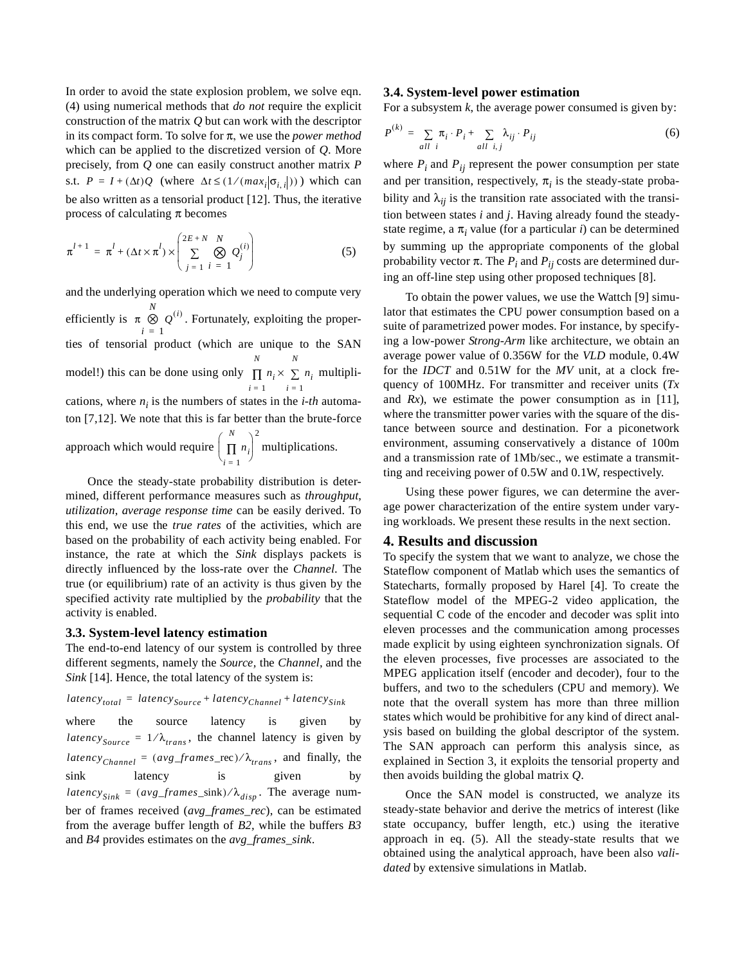In order to avoid the state explosion problem, we solve eqn. (4) using numerical methods that *do not* require the explicit construction of the matrix *Q* but can work with the descriptor in its compact form. To solve for π, we use the *power method* which can be applied to the discretized version of *Q*. More precisely, from *Q* one can easily construct another matrix *P* s.t.  $P = I + (\Delta t)Q$  (where  $\Delta t \leq (1/(max_i |\sigma_{i,i}|))$ ) which can be also written as a tensorial product [12]. Thus, the iterative process of calculating π becomes

$$
\pi^{l+1} = \pi^l + (\Delta t \times \pi^l) \times \begin{pmatrix} 2E + N & N \\ \sum_{j=1}^{\infty} \bigotimes_{i=1}^{N} Q_j^{(i)} \bigg) & (5)
$$

and the underlying operation which we need to compute very efficiently is  $\pi \otimes \varrho^{(t)}$ . Fortunately, exploiting the properties of tensorial product (which are unique to the SAN model!) this can be done using only  $\prod_i n_i \times \sum_i n_i$  multiplications, where  $n_i$  is the numbers of states in the *i-th* automaton [7,12]. We note that this is far better than the brute-force approach which would require  $\prod n_i$  multiplications. *N* ⊗ *i* = 1  $\varrho^{\scriptscriptstyle (i)}$  $i = 1$   $i = 1$ *N*  $\prod n_i \times \sum n_i$ *N* × ∑ *i* = 1  $\left(\prod_{i=1}^N n_i\right)^2$ 

Once the steady-state probability distribution is determined, different performance measures such as *throughput*, *utilization*, *average response time* can be easily derived. To this end, we use the *true rates* of the activities, which are based on the probability of each activity being enabled. For instance, the rate at which the *Sink* displays packets is directly influenced by the loss-rate over the *Channel*. The true (or equilibrium) rate of an activity is thus given by the specified activity rate multiplied by the *probability* that the activity is enabled.

#### **3.3. System-level latency estimation**

The end-to-end latency of our system is controlled by three different segments, namely the *Source,* the *Channel,* and the *Sink* [14]. Hence, the total latency of the system is:

$$
latency_{total} = latency_{Source} + latency_{Channel} + latency_{Sink}
$$

where the source latency is given by  $latency<sub>Source</sub> = 1/\lambda<sub>trans</sub>$ , the channel latency is given by  $latency_{Channel} = (avg\_frames\_rec) / \lambda_{trans}$ , and finally, the sink latency is given by  $\lambda_{disp} = (avg\_frames\_sink) / \lambda_{disp}$ . The average number of frames received (*avg\_frames\_rec*), can be estimated from the average buffer length of *B2,* while the buffers *B3* and *B4* provides estimates on the *avg\_frames\_sink*.

## **3.4. System-level power estimation**

For a subsystem *k*, the average power consumed is given by:

$$
P^{(k)} = \sum_{all \ i} \pi_i \cdot P_i + \sum_{all \ i,j} \lambda_{ij} \cdot P_{ij}
$$
 (6)

where  $P_i$  and  $P_{ij}$  represent the power consumption per state and per transition, respectively,  $\pi_i$  is the steady-state probability and  $\lambda_{ij}$  is the transition rate associated with the transition between states *i* and *j*. Having already found the steadystate regime, a  $\pi$ <sub>*i*</sub> value (for a particular *i*) can be determined by summing up the appropriate components of the global probability vector  $\pi$ . The  $P_i$  and  $P_{ij}$  costs are determined during an off-line step using other proposed techniques [8].

To obtain the power values, we use the Wattch [9] simulator that estimates the CPU power consumption based on a suite of parametrized power modes. For instance, by specifying a low-power *Strong-Arm* like architecture, we obtain an average power value of 0.356W for the *VLD* module, 0.4W for the *IDCT* and 0.51W for the *MV* unit, at a clock frequency of 100MHz. For transmitter and receiver units (*Tx* and *Rx*), we estimate the power consumption as in [11], where the transmitter power varies with the square of the distance between source and destination. For a piconetwork environment, assuming conservatively a distance of 100m and a transmission rate of 1Mb/sec., we estimate a transmitting and receiving power of 0.5W and 0.1W, respectively.

Using these power figures, we can determine the average power characterization of the entire system under varying workloads. We present these results in the next section.

## **4. Results and discussion**

To specify the system that we want to analyze, we chose the Stateflow component of Matlab which uses the semantics of Statecharts, formally proposed by Harel [4]. To create the Stateflow model of the MPEG-2 video application, the sequential C code of the encoder and decoder was split into eleven processes and the communication among processes made explicit by using eighteen synchronization signals. Of the eleven processes, five processes are associated to the MPEG application itself (encoder and decoder), four to the buffers, and two to the schedulers (CPU and memory). We note that the overall system has more than three million states which would be prohibitive for any kind of direct analysis based on building the global descriptor of the system. The SAN approach can perform this analysis since, as explained in Section 3, it exploits the tensorial property and then avoids building the global matrix *Q*.

Once the SAN model is constructed, we analyze its steady-state behavior and derive the metrics of interest (like state occupancy, buffer length, etc.) using the iterative approach in eq. (5). All the steady-state results that we obtained using the analytical approach, have been also *validated* by extensive simulations in Matlab.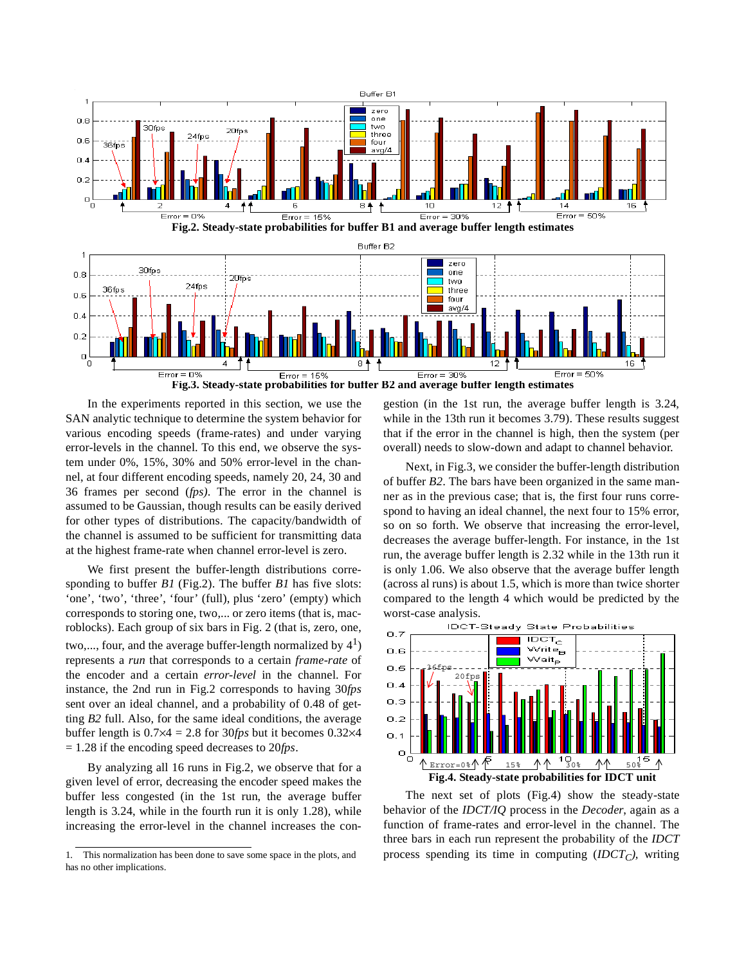

In the experiments reported in this section, we use the SAN analytic technique to determine the system behavior for various encoding speeds (frame-rates) and under varying error-levels in the channel. To this end, we observe the system under 0%, 15%, 30% and 50% error-level in the channel, at four different encoding speeds, namely 20, 24, 30 and 36 frames per second (*fps)*. The error in the channel is assumed to be Gaussian, though results can be easily derived for other types of distributions. The capacity/bandwidth of the channel is assumed to be sufficient for transmitting data at the highest frame-rate when channel error-level is zero.

We first present the buffer-length distributions corresponding to buffer *B1* (Fig.2). The buffer *B1* has five slots: 'one', 'two', 'three', 'four' (full), plus 'zero' (empty) which corresponds to storing one, two,... or zero items (that is, macroblocks). Each group of six bars in Fig. 2 (that is, zero, one, two,..., four, and the average buffer-length normalized by  $4<sup>1</sup>$ ) represents a *run* that corresponds to a certain *frame-rate* of the encoder and a certain *error-level* in the channel. For instance, the 2nd run in Fig.2 corresponds to having 30*fps* sent over an ideal channel, and a probability of 0.48 of getting *B2* full. Also, for the same ideal conditions, the average buffer length is 0.7×4 = 2.8 for 30*fps* but it becomes 0.32×4 = 1.28 if the encoding speed decreases to 20*fps*.

By analyzing all 16 runs in Fig.2, we observe that for a given level of error, decreasing the encoder speed makes the buffer less congested (in the 1st run, the average buffer length is 3.24, while in the fourth run it is only 1.28), while increasing the error-level in the channel increases the con-

gestion (in the 1st run, the average buffer length is 3.24, while in the 13th run it becomes 3.79). These results suggest that if the error in the channel is high, then the system (per overall) needs to slow-down and adapt to channel behavior.

Next, in Fig.3, we consider the buffer-length distribution of buffer *B2*. The bars have been organized in the same manner as in the previous case; that is, the first four runs correspond to having an ideal channel, the next four to 15% error, so on so forth. We observe that increasing the error-level, decreases the average buffer-length. For instance, in the 1st run, the average buffer length is 2.32 while in the 13th run it is only 1.06. We also observe that the average buffer length (across al runs) is about 1.5, which is more than twice shorter compared to the length 4 which would be predicted by the worst-case analysis.



The next set of plots (Fig.4) show the steady-state behavior of the *IDCT/IQ* process in the *Decoder*, again as a function of frame-rates and error-level in the channel. The three bars in each run represent the probability of the *IDCT* 1. This normalization has been done to save some space in the plots, and process spending its time in computing  $(IDCT<sub>C</sub>)$ , writing

has no other implications.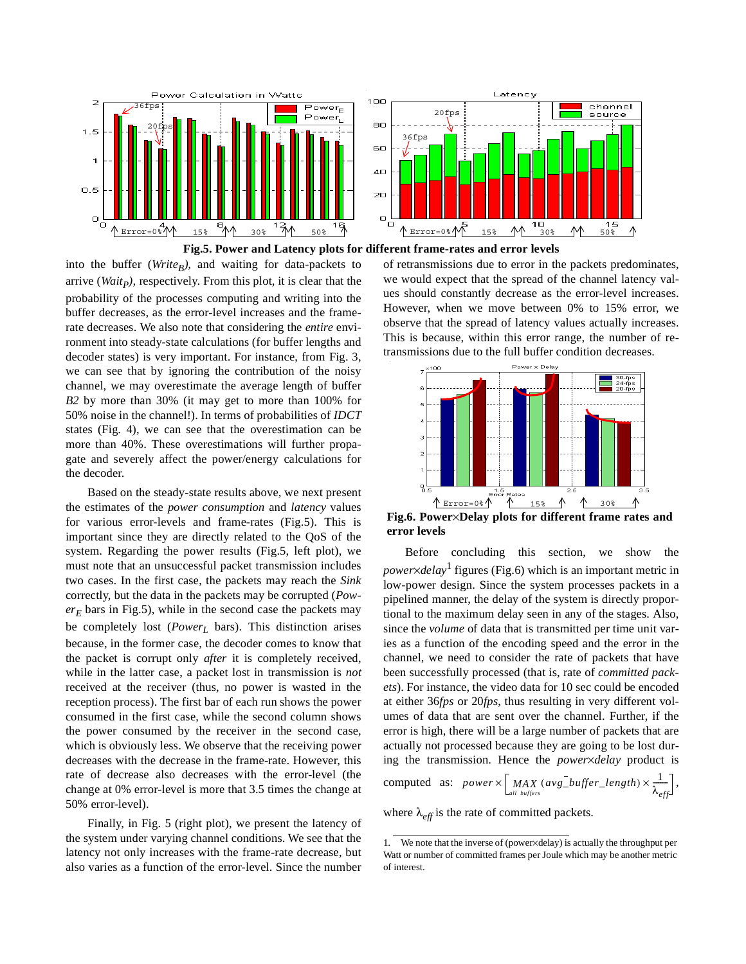![](_page_6_Figure_0.jpeg)

![](_page_6_Figure_1.jpeg)

into the buffer (*Write<sub>B</sub>*), and waiting for data-packets to arrive (*Wait<sub>P</sub>*), respectively. From this plot, it is clear that the probability of the processes computing and writing into the buffer decreases, as the error-level increases and the framerate decreases. We also note that considering the *entire* environment into steady-state calculations (for buffer lengths and decoder states) is very important. For instance, from Fig. 3, we can see that by ignoring the contribution of the noisy channel, we may overestimate the average length of buffer *B2* by more than 30% (it may get to more than 100% for 50% noise in the channel!). In terms of probabilities of *IDCT* states (Fig. 4), we can see that the overestimation can be more than 40%. These overestimations will further propagate and severely affect the power/energy calculations for the decoder.

Based on the steady-state results above, we next present the estimates of the *power consumption* and *latency* values for various error-levels and frame-rates (Fig.5). This is important since they are directly related to the QoS of the system. Regarding the power results (Fig.5, left plot), we must note that an unsuccessful packet transmission includes two cases. In the first case, the packets may reach the *Sink* correctly, but the data in the packets may be corrupted (*Pow* $er_E$  bars in Fig.5), while in the second case the packets may be completely lost (*Power<sub>L</sub>* bars). This distinction arises because, in the former case, the decoder comes to know that the packet is corrupt only *after* it is completely received, while in the latter case, a packet lost in transmission is *not* received at the receiver (thus, no power is wasted in the reception process). The first bar of each run shows the power consumed in the first case, while the second column shows the power consumed by the receiver in the second case, which is obviously less. We observe that the receiving power decreases with the decrease in the frame-rate. However, this rate of decrease also decreases with the error-level (the change at 0% error-level is more that 3.5 times the change at 50% error-level).

Finally, in Fig. 5 (right plot), we present the latency of the system under varying channel conditions. We see that the latency not only increases with the frame-rate decrease, but also varies as a function of the error-level. Since the number

of retransmissions due to error in the packets predominates, we would expect that the spread of the channel latency values should constantly decrease as the error-level increases. However, when we move between 0% to 15% error, we observe that the spread of latency values actually increases. This is because, within this error range, the number of retransmissions due to the full buffer condition decreases.

![](_page_6_Figure_6.jpeg)

**Fig.6. Power**×**Delay plots for different frame rates and error levels**

Before concluding this section, we show the *power* $\times$ *delay*<sup>1</sup> figures (Fig.6) which is an important metric in low-power design. Since the system processes packets in a pipelined manner, the delay of the system is directly proportional to the maximum delay seen in any of the stages. Also, since the *volume* of data that is transmitted per time unit varies as a function of the encoding speed and the error in the channel, we need to consider the rate of packets that have been successfully processed (that is, rate of *committed packets*). For instance, the video data for 10 sec could be encoded at either 36*fps* or 20*fps*, thus resulting in very different volumes of data that are sent over the channel. Further, if the error is high, there will be a large number of packets that are actually not processed because they are going to be lost during the transmission. Hence the *power*×*delay* product is

computed as: 
$$
power \times \left[ \underset{all \text{ buffers}}{MAX} (avg\_buffer\_length) \times \frac{1}{\lambda_{eff}} \right],
$$

where  $\lambda_{\text{eff}}$  is the rate of committed packets.

<sup>1.</sup> We note that the inverse of (power×delay) is actually the throughput per Watt or number of committed frames per Joule which may be another metric of interest.